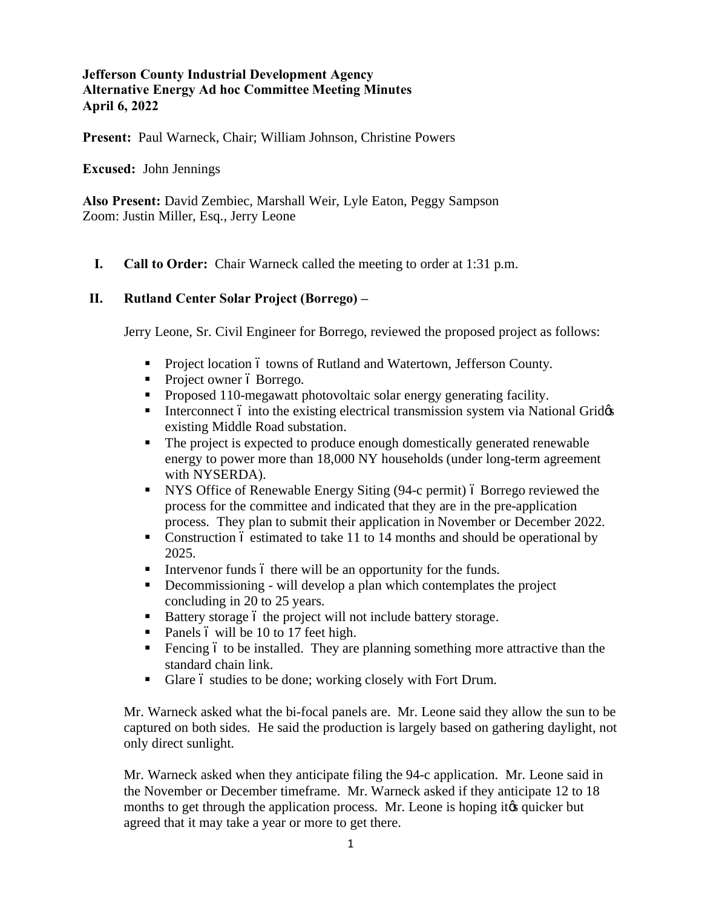## **Jefferson County Industrial Development Agency Alternative Energy Ad hoc Committee Meeting Minutes April 6, 2022**

**Present:** Paul Warneck, Chair; William Johnson, Christine Powers

#### **Excused:** John Jennings

**Also Present:** David Zembiec, Marshall Weir, Lyle Eaton, Peggy Sampson Zoom: Justin Miller, Esq., Jerry Leone

**I. Call to Order:** Chair Warneck called the meeting to order at 1:31 p.m.

## **II. Rutland Center Solar Project (Borrego) –**

Jerry Leone, Sr. Civil Engineer for Borrego, reviewed the proposed project as follows:

- **Project location 6 towns of Rutland and Watertown, Jefferson County.**
- Project owner ó Borrego.
- Proposed 110-megawatt photovoltaic solar energy generating facility.
- **Interconnect 6 into the existing electrical transmission system via National Grid** $\alpha$ existing Middle Road substation.
- The project is expected to produce enough domestically generated renewable energy to power more than 18,000 NY households (under long-term agreement with NYSERDA).
- NYS Office of Renewable Energy Siting (94-c permit) ó Borrego reviewed the process for the committee and indicated that they are in the pre-application process. They plan to submit their application in November or December 2022.
- Construction 6 estimated to take 11 to 14 months and should be operational by 2025.
- Intervenor funds 6 there will be an opportunity for the funds.
- $\blacksquare$  Decommissioning will develop a plan which contemplates the project concluding in 20 to 25 years.
- Battery storage 6 the project will not include battery storage.
- Panels 6 will be 10 to 17 feet high.
- $\blacksquare$  Fencing 6 to be installed. They are planning something more attractive than the standard chain link.
- **•** Glare 6 studies to be done; working closely with Fort Drum.

Mr. Warneck asked what the bi-focal panels are. Mr. Leone said they allow the sun to be captured on both sides. He said the production is largely based on gathering daylight, not only direct sunlight.

Mr. Warneck asked when they anticipate filing the 94-c application. Mr. Leone said in the November or December timeframe. Mr. Warneck asked if they anticipate 12 to 18 months to get through the application process. Mr. Leone is hoping it to quicker but agreed that it may take a year or more to get there.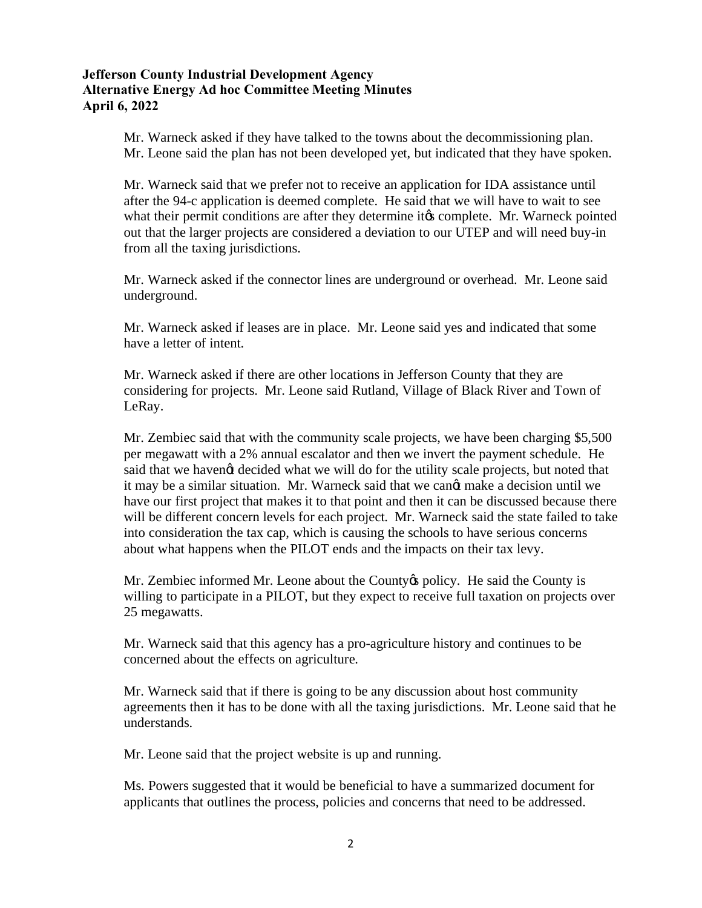## **Jefferson County Industrial Development Agency Alternative Energy Ad hoc Committee Meeting Minutes April 6, 2022**

Mr. Warneck asked if they have talked to the towns about the decommissioning plan. Mr. Leone said the plan has not been developed yet, but indicated that they have spoken.

Mr. Warneck said that we prefer not to receive an application for IDA assistance until after the 94-c application is deemed complete. He said that we will have to wait to see what their permit conditions are after they determine it to complete. Mr. Warneck pointed out that the larger projects are considered a deviation to our UTEP and will need buy-in from all the taxing jurisdictions.

Mr. Warneck asked if the connector lines are underground or overhead. Mr. Leone said underground.

Mr. Warneck asked if leases are in place. Mr. Leone said yes and indicated that some have a letter of intent.

Mr. Warneck asked if there are other locations in Jefferson County that they are considering for projects. Mr. Leone said Rutland, Village of Black River and Town of LeRay.

Mr. Zembiec said that with the community scale projects, we have been charging \$5,500 per megawatt with a 2% annual escalator and then we invert the payment schedule. He said that we havengt decided what we will do for the utility scale projects, but noted that it may be a similar situation. Mr. Warneck said that we cangt make a decision until we have our first project that makes it to that point and then it can be discussed because there will be different concern levels for each project. Mr. Warneck said the state failed to take into consideration the tax cap, which is causing the schools to have serious concerns about what happens when the PILOT ends and the impacts on their tax levy.

Mr. Zembiec informed Mr. Leone about the County's policy. He said the County is willing to participate in a PILOT, but they expect to receive full taxation on projects over 25 megawatts.

Mr. Warneck said that this agency has a pro-agriculture history and continues to be concerned about the effects on agriculture.

Mr. Warneck said that if there is going to be any discussion about host community agreements then it has to be done with all the taxing jurisdictions. Mr. Leone said that he understands.

Mr. Leone said that the project website is up and running.

Ms. Powers suggested that it would be beneficial to have a summarized document for applicants that outlines the process, policies and concerns that need to be addressed.